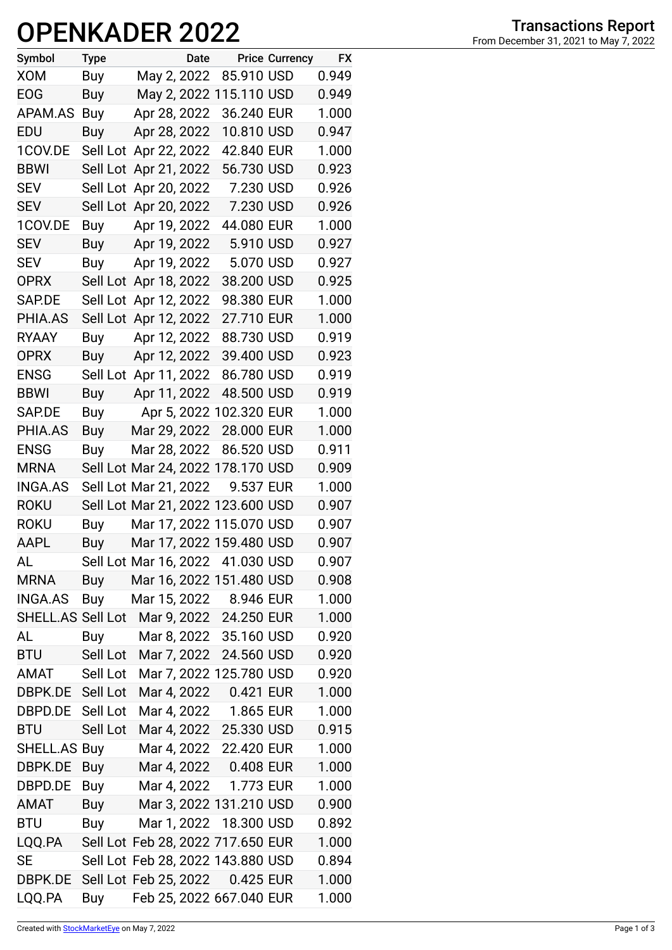## **OPENKADER 2022**

| Symbol            | <b>Type</b> | Date                              |            | <b>Price Currency</b> | <b>FX</b> |
|-------------------|-------------|-----------------------------------|------------|-----------------------|-----------|
| <b>XOM</b>        | Buy         | May 2, 2022                       | 85.910 USD |                       | 0.949     |
| <b>EOG</b>        | Buy         | May 2, 2022 115.110 USD           |            |                       | 0.949     |
| APAM.AS           | Buy         | Apr 28, 2022                      | 36.240 EUR |                       | 1.000     |
| EDU               | Buy         | Apr 28, 2022                      | 10.810 USD |                       | 0.947     |
| 1COV.DE           |             | Sell Lot Apr 22, 2022             | 42.840 EUR |                       | 1.000     |
| <b>BBWI</b>       | Sell Lot    | Apr 21, 2022                      | 56.730 USD |                       | 0.923     |
| <b>SEV</b>        |             | Sell Lot Apr 20, 2022             | 7.230 USD  |                       | 0.926     |
| <b>SEV</b>        |             | Sell Lot Apr 20, 2022             | 7.230 USD  |                       | 0.926     |
| 1COV.DE           | Buy         | Apr 19, 2022                      | 44.080 EUR |                       | 1.000     |
| <b>SEV</b>        | Buy         | Apr 19, 2022                      | 5.910 USD  |                       | 0.927     |
| <b>SEV</b>        | Buy         | Apr 19, 2022                      | 5.070 USD  |                       | 0.927     |
| <b>OPRX</b>       |             | Sell Lot Apr 18, 2022             | 38.200 USD |                       | 0.925     |
| SAP.DE            |             | Sell Lot Apr 12, 2022             | 98.380 EUR |                       | 1.000     |
| PHIA.AS           | Sell Lot    | Apr 12, 2022                      | 27.710 EUR |                       | 1.000     |
| <b>RYAAY</b>      | Buy         | Apr 12, 2022                      | 88.730 USD |                       | 0.919     |
| <b>OPRX</b>       | Buy         | Apr 12, 2022                      | 39.400 USD |                       | 0.923     |
| <b>ENSG</b>       |             | Sell Lot Apr 11, 2022             | 86.780 USD |                       | 0.919     |
| <b>BBWI</b>       | Buy         | Apr 11, 2022                      | 48.500 USD |                       | 0.919     |
| SAP.DE            | Buy         | Apr 5, 2022 102.320 EUR           |            |                       | 1.000     |
| PHIA.AS           | Buy         | Mar 29, 2022                      | 28.000 EUR |                       | 1.000     |
| <b>ENSG</b>       | <b>Buy</b>  | Mar 28, 2022                      | 86.520 USD |                       | 0.911     |
| <b>MRNA</b>       |             | Sell Lot Mar 24, 2022 178.170 USD |            |                       | 0.909     |
| <b>INGA.AS</b>    |             | Sell Lot Mar 21, 2022             | 9.537 EUR  |                       | 1.000     |
| <b>ROKU</b>       |             | Sell Lot Mar 21, 2022 123.600 USD |            |                       | 0.907     |
| <b>ROKU</b>       | Buy         | Mar 17, 2022 115.070 USD          |            |                       | 0.907     |
| AAPL              | Buy         | Mar 17, 2022 159.480 USD          |            |                       | 0.907     |
| AL                |             | Sell Lot Mar 16, 2022 41.030 USD  |            |                       | 0.907     |
| <b>MRNA</b>       | Buy         | Mar 16, 2022 151.480 USD          |            |                       | 0.908     |
| <b>INGA.AS</b>    | Buy         | Mar 15, 2022 8.946 EUR            |            |                       | 1.000     |
| SHELL.AS Sell Lot |             | Mar 9, 2022 24.250 EUR            |            |                       | 1.000     |
| AL                | Buy         | Mar 8, 2022 35.160 USD            |            |                       | 0.920     |
| <b>BTU</b>        | Sell Lot    | Mar 7, 2022 24.560 USD            |            |                       | 0.920     |
| AMAT              | Sell Lot    | Mar 7, 2022 125.780 USD           |            |                       | 0.920     |
| DBPK.DE Sell Lot  |             | Mar 4, 2022 0.421 EUR             |            |                       | 1.000     |
| DBPD.DE Sell Lot  |             | Mar 4, 2022 1.865 EUR             |            |                       | 1.000     |
| <b>BTU</b>        | Sell Lot    | Mar 4, 2022 25.330 USD            |            |                       | 0.915     |
| SHELL.AS Buy      |             | Mar 4, 2022 22.420 EUR            |            |                       | 1.000     |
| DBPK.DE           | Buy         | Mar 4, 2022 0.408 EUR             |            |                       | 1.000     |
| DBPD.DE           | Buy         | Mar 4, 2022 1.773 EUR             |            |                       | 1.000     |
| AMAT              | Buy         | Mar 3, 2022 131.210 USD           |            |                       | 0.900     |
| <b>BTU</b>        | Buy         | Mar 1, 2022 18.300 USD            |            |                       | 0.892     |
| LQQ.PA            |             | Sell Lot Feb 28, 2022 717.650 EUR |            |                       | 1.000     |
| <b>SE</b>         |             | Sell Lot Feb 28, 2022 143.880 USD |            |                       | 0.894     |
| DBPK.DE           |             | Sell Lot Feb 25, 2022 0.425 EUR   |            |                       | 1.000     |
| LQQ.PA            | Buy         | Feb 25, 2022 667.040 EUR          |            |                       | 1.000     |

**From December 31, 2021 to May 7, 2022**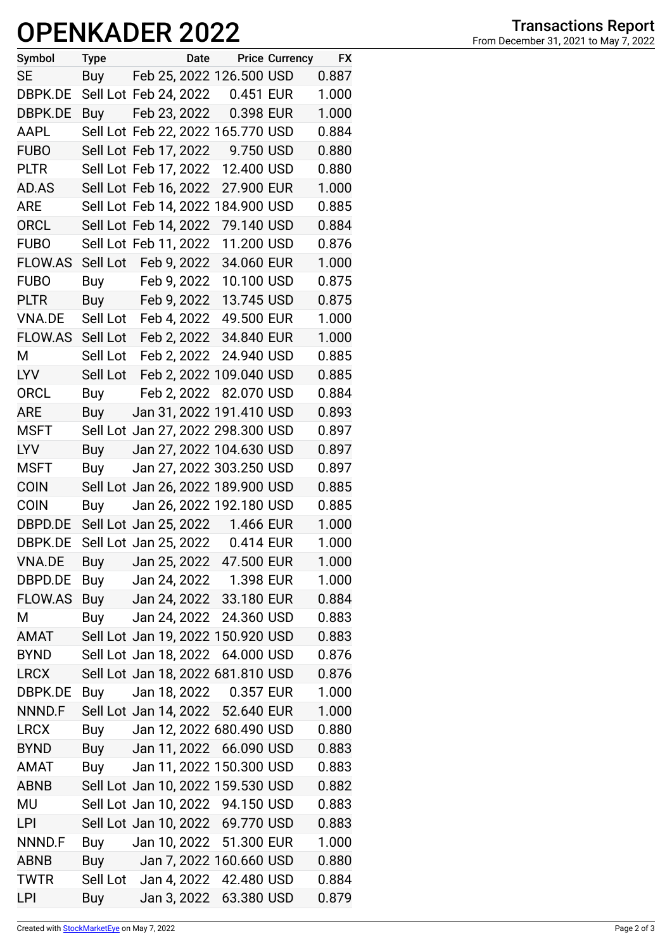## **OPENKADER 2022**

| Symbol         | Type                  |              | Date Price Currency               | <b>FX</b> |
|----------------|-----------------------|--------------|-----------------------------------|-----------|
| SE             | Buy                   |              | Feb 25, 2022 126.500 USD          | 0.887     |
| DBPK.DE        | Sell Lot Feb 24, 2022 |              | 0.451 EUR                         | 1.000     |
| DBPK.DE        | Buy                   | Feb 23, 2022 | 0.398 EUR                         | 1.000     |
| AAPL           |                       |              | Sell Lot Feb 22, 2022 165.770 USD | 0.884     |
| <b>FUBO</b>    | Sell Lot Feb 17, 2022 |              | 9.750 USD                         | 0.880     |
| <b>PLTR</b>    | Sell Lot Feb 17, 2022 |              | 12.400 USD                        | 0.880     |
| AD.AS          | Sell Lot Feb 16, 2022 |              | 27.900 EUR                        | 1.000     |
| <b>ARE</b>     |                       |              | Sell Lot Feb 14, 2022 184.900 USD | 0.885     |
| <b>ORCL</b>    | Sell Lot Feb 14, 2022 |              | 79.140 USD                        | 0.884     |
| <b>FUBO</b>    | Sell Lot Feb 11, 2022 |              | 11.200 USD                        | 0.876     |
| <b>FLOW.AS</b> | Sell Lot Feb 9, 2022  |              | 34.060 EUR                        | 1.000     |
| <b>FUBO</b>    | Buy Feb 9, 2022       |              | 10.100 USD                        | 0.875     |
| <b>PLTR</b>    | Buy Feb 9, 2022       |              | 13.745 USD                        | 0.875     |
| VNA.DE         | Sell Lot Feb 4, 2022  |              | 49.500 EUR                        | 1.000     |
| <b>FLOW.AS</b> | Sell Lot              | Feb 2, 2022  | 34.840 EUR                        | 1.000     |
| М              | Sell Lot              | Feb 2, 2022  | 24.940 USD                        | 0.885     |
| <b>LYV</b>     |                       |              | Sell Lot Feb 2, 2022 109.040 USD  | 0.885     |
| <b>ORCL</b>    | Buy                   |              | Feb 2, 2022 82.070 USD            | 0.884     |
| <b>ARE</b>     | Buy                   |              | Jan 31, 2022 191.410 USD          | 0.893     |
| <b>MSFT</b>    |                       |              | Sell Lot Jan 27, 2022 298.300 USD | 0.897     |
| <b>LYV</b>     | Buy                   |              | Jan 27, 2022 104.630 USD          | 0.897     |
| <b>MSFT</b>    | Buy                   |              | Jan 27, 2022 303.250 USD          | 0.897     |
| <b>COIN</b>    |                       |              | Sell Lot Jan 26, 2022 189.900 USD | 0.885     |
| <b>COIN</b>    | Buy                   |              | Jan 26, 2022 192.180 USD          | 0.885     |
| DBPD.DE        |                       |              | Sell Lot Jan 25, 2022 1.466 EUR   | 1.000     |
| DBPK.DE        | Sell Lot Jan 25, 2022 |              | 0.414 EUR                         | 1.000     |
| <b>VNA.DE</b>  | Buy                   |              | Jan 25, 2022 47.500 EUR           | 1.000     |
| DBPD.DE        | Buy                   |              | Jan 24, 2022 1.398 EUR            | 1.000     |
| <b>FLOW.AS</b> | Buy                   |              | Jan 24, 2022 33.180 EUR           | 0.884     |
| Μ              | Buy                   |              | Jan 24, 2022 24.360 USD           | 0.883     |
| <b>TAMA</b>    |                       |              | Sell Lot Jan 19, 2022 150.920 USD | 0.883     |
| <b>BYND</b>    | Sell Lot Jan 18, 2022 |              | 64.000 USD                        | 0.876     |
| <b>LRCX</b>    |                       |              | Sell Lot Jan 18, 2022 681.810 USD | 0.876     |
| DBPK.DE        | Buy                   |              | Jan 18, 2022 0.357 EUR            | 1.000     |
| NNND.F         |                       |              | Sell Lot Jan 14, 2022 52.640 EUR  | 1.000     |
| <b>LRCX</b>    | Buy                   |              | Jan 12, 2022 680.490 USD          | 0.880     |
| <b>BYND</b>    | Buy                   | Jan 11, 2022 | 66.090 USD                        | 0.883     |
| AMAT           | Buy                   |              | Jan 11, 2022 150.300 USD          | 0.883     |
| <b>ABNB</b>    |                       |              | Sell Lot Jan 10, 2022 159.530 USD | 0.882     |
| MU             |                       |              | Sell Lot Jan 10, 2022 94.150 USD  | 0.883     |
| LPI            |                       |              | Sell Lot Jan 10, 2022 69.770 USD  | 0.883     |
| NNND.F         | Buy                   |              | Jan 10, 2022 51.300 EUR           | 1.000     |
| ABNB           | Buy                   |              | Jan 7, 2022 160.660 USD           | 0.880     |
| <b>TWTR</b>    |                       |              | Sell Lot Jan 4, 2022 42.480 USD   | 0.884     |
| LPI            | Buy                   |              | Jan 3, 2022 63.380 USD            | 0.879     |